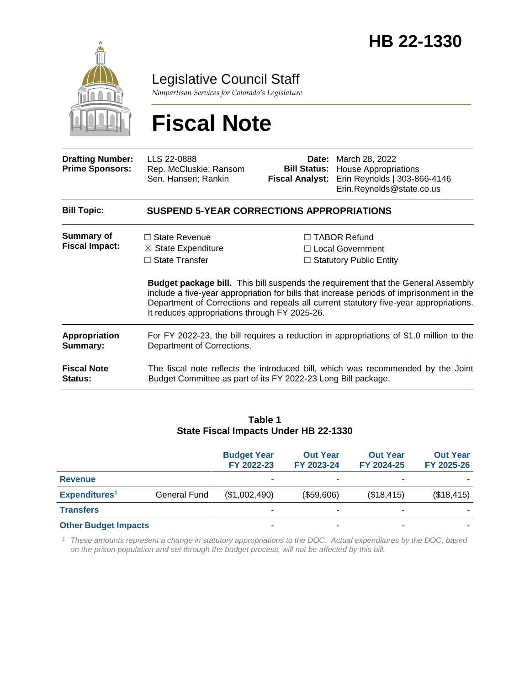

Legislative Council Staff

*Nonpartisan Services for Colorado's Legislature*

# **Fiscal Note**

| <b>Drafting Number:</b><br><b>Prime Sponsors:</b> | LLS 22-0888<br>Rep. McCluskie; Ransom<br>Sen. Hansen; Rankin                                                                                                                                                                                                                                                                   | <b>Bill Status:</b><br><b>Fiscal Analyst:</b>                                    | <b>Date:</b> March 28, 2022<br><b>House Appropriations</b><br>Erin Reynolds   303-866-4146<br>Erin.Reynolds@state.co.us |  |  |  |  |  |
|---------------------------------------------------|--------------------------------------------------------------------------------------------------------------------------------------------------------------------------------------------------------------------------------------------------------------------------------------------------------------------------------|----------------------------------------------------------------------------------|-------------------------------------------------------------------------------------------------------------------------|--|--|--|--|--|
| <b>Bill Topic:</b>                                | <b>SUSPEND 5-YEAR CORRECTIONS APPROPRIATIONS</b>                                                                                                                                                                                                                                                                               |                                                                                  |                                                                                                                         |  |  |  |  |  |
| <b>Summary of</b><br><b>Fiscal Impact:</b>        | $\Box$ State Revenue<br>$\boxtimes$ State Expenditure<br>$\Box$ State Transfer                                                                                                                                                                                                                                                 | $\Box$ TABOR Refund<br>$\Box$ Local Government<br>$\Box$ Statutory Public Entity |                                                                                                                         |  |  |  |  |  |
|                                                   | <b>Budget package bill.</b> This bill suspends the requirement that the General Assembly<br>include a five-year appropriation for bills that increase periods of imprisonment in the<br>Department of Corrections and repeals all current statutory five-year appropriations.<br>It reduces appropriations through FY 2025-26. |                                                                                  |                                                                                                                         |  |  |  |  |  |
| Appropriation<br>Summary:                         | For FY 2022-23, the bill requires a reduction in appropriations of \$1.0 million to the<br>Department of Corrections.                                                                                                                                                                                                          |                                                                                  |                                                                                                                         |  |  |  |  |  |
| <b>Fiscal Note</b><br>Status:                     | The fiscal note reflects the introduced bill, which was recommended by the Joint<br>Budget Committee as part of its FY 2022-23 Long Bill package.                                                                                                                                                                              |                                                                                  |                                                                                                                         |  |  |  |  |  |

#### **Table 1 State Fiscal Impacts Under HB 22-1330**

|                             |              | <b>Budget Year</b><br>FY 2022-23 | <b>Out Year</b><br>FY 2023-24 | <b>Out Year</b><br>FY 2024-25 | <b>Out Year</b><br>FY 2025-26 |
|-----------------------------|--------------|----------------------------------|-------------------------------|-------------------------------|-------------------------------|
| <b>Revenue</b>              |              | ۰                                | ۰.                            |                               |                               |
| Expenditures <sup>1</sup>   | General Fund | (\$1,002,490)                    | (\$59,606)                    | (\$18,415)                    | (\$18,415)                    |
| <b>Transfers</b>            |              | ۰                                | ۰                             |                               |                               |
| <b>Other Budget Impacts</b> |              |                                  | ۰                             |                               |                               |

*<sup>1</sup> These amounts represent a change in statutory appropriations to the DOC. Actual expenditures by the DOC, based on the prison population and set through the budget process, will not be affected by this bill.*